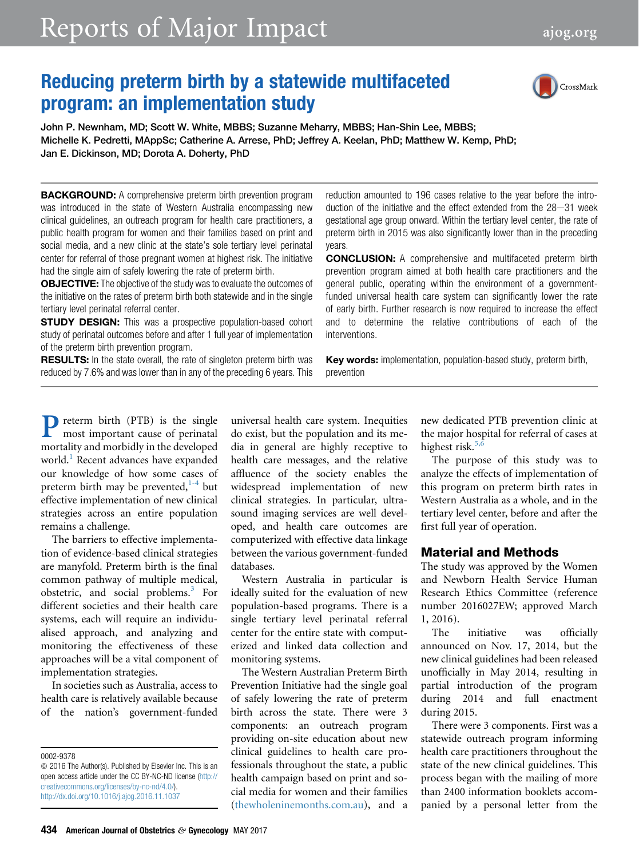# Reports of Major Impact [ajog.org](http://www.AJOG.org)

# Reducing preterm birth by a statewide multifaceted program: an implementation study



John P. Newnham, MD; Scott W. White, MBBS; Suzanne Meharry, MBBS; Han-Shin Lee, MBBS; Michelle K. Pedretti, MAppSc; Catherine A. Arrese, PhD; Jeffrey A. Keelan, PhD; Matthew W. Kemp, PhD; Jan E. Dickinson, MD; Dorota A. Doherty, PhD

**BACKGROUND:** A comprehensive preterm birth prevention program was introduced in the state of Western Australia encompassing new clinical guidelines, an outreach program for health care practitioners, a public health program for women and their families based on print and social media, and a new clinic at the state's sole tertiary level perinatal center for referral of those pregnant women at highest risk. The initiative had the single aim of safely lowering the rate of preterm birth.

**OBJECTIVE:** The objective of the study was to evaluate the outcomes of the initiative on the rates of preterm birth both statewide and in the single tertiary level perinatal referral center.

**STUDY DESIGN:** This was a prospective population-based cohort study of perinatal outcomes before and after 1 full year of implementation of the preterm birth prevention program.

**RESULTS:** In the state overall, the rate of singleton preterm birth was reduced by 7.6% and was lower than in any of the preceding 6 years. This reduction amounted to 196 cases relative to the year before the introduction of the initiative and the effect extended from the  $28-31$  week gestational age group onward. Within the tertiary level center, the rate of preterm birth in 2015 was also significantly lower than in the preceding years.

CONCLUSION: A comprehensive and multifaceted preterm birth prevention program aimed at both health care practitioners and the general public, operating within the environment of a governmentfunded universal health care system can significantly lower the rate of early birth. Further research is now required to increase the effect and to determine the relative contributions of each of the interventions.

Key words: implementation, population-based study, preterm birth, prevention

P reterm birth (PTB) is the single most important cause of perinatal mortality and morbidly in the developed world.<sup>[1](#page-8-0)</sup> Recent advances have expanded our knowledge of how some cases of preterm birth may be prevented, $1-4$  but effective implementation of new clinical strategies across an entire population remains a challenge.

The barriers to effective implementation of evidence-based clinical strategies are manyfold. Preterm birth is the final common pathway of multiple medical, obstetric, and social problems.<sup>[3](#page-8-0)</sup> For different societies and their health care systems, each will require an individualised approach, and analyzing and monitoring the effectiveness of these approaches will be a vital component of implementation strategies.

In societies such as Australia, access to health care is relatively available because of the nation's government-funded universal health care system. Inequities do exist, but the population and its media in general are highly receptive to health care messages, and the relative affluence of the society enables the widespread implementation of new clinical strategies. In particular, ultrasound imaging services are well developed, and health care outcomes are computerized with effective data linkage between the various government-funded databases.

Western Australia in particular is ideally suited for the evaluation of new population-based programs. There is a single tertiary level perinatal referral center for the entire state with computerized and linked data collection and monitoring systems.

The Western Australian Preterm Birth Prevention Initiative had the single goal of safely lowering the rate of preterm birth across the state. There were 3 components: an outreach program providing on-site education about new clinical guidelines to health care professionals throughout the state, a public health campaign based on print and social media for women and their families ([thewholeninemonths.com.au](http://thewholeninemonths.com.au)), and a

new dedicated PTB prevention clinic at the major hospital for referral of cases at highest risk. $5$ ,

The purpose of this study was to analyze the effects of implementation of this program on preterm birth rates in Western Australia as a whole, and in the tertiary level center, before and after the first full year of operation.

### Material and Methods

The study was approved by the Women and Newborn Health Service Human Research Ethics Committee (reference number 2016027EW; approved March 1, 2016).

The initiative was officially announced on Nov. 17, 2014, but the new clinical guidelines had been released unofficially in May 2014, resulting in partial introduction of the program during 2014 and full enactment during 2015.

There were 3 components. First was a statewide outreach program informing health care practitioners throughout the state of the new clinical guidelines. This process began with the mailing of more than 2400 information booklets accompanied by a personal letter from the

<sup>0002-9378</sup>

 $\odot$  2016 The Author(s). Published by Elsevier Inc. This is an open access article under the CC BY-NC-ND license ([http://](http://creativecommons.org/licenses/by-nc-nd/4.0/) [creativecommons.org/licenses/by-nc-nd/4.0/\)](http://creativecommons.org/licenses/by-nc-nd/4.0/). <http://dx.doi.org/10.1016/j.ajog.2016.11.1037>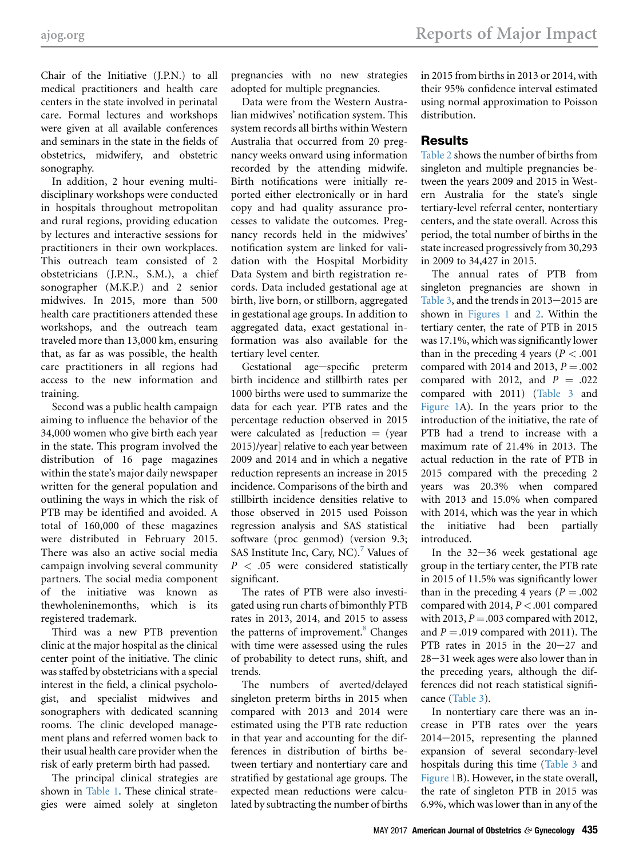Chair of the Initiative (J.P.N.) to all medical practitioners and health care centers in the state involved in perinatal care. Formal lectures and workshops were given at all available conferences and seminars in the state in the fields of obstetrics, midwifery, and obstetric sonography.

In addition, 2 hour evening multidisciplinary workshops were conducted in hospitals throughout metropolitan and rural regions, providing education by lectures and interactive sessions for practitioners in their own workplaces. This outreach team consisted of 2 obstetricians (J.P.N., S.M.), a chief sonographer (M.K.P.) and 2 senior midwives. In 2015, more than 500 health care practitioners attended these workshops, and the outreach team traveled more than 13,000 km, ensuring that, as far as was possible, the health care practitioners in all regions had access to the new information and training.

Second was a public health campaign aiming to influence the behavior of the 34,000 women who give birth each year in the state. This program involved the distribution of 16 page magazines within the state's major daily newspaper written for the general population and outlining the ways in which the risk of PTB may be identified and avoided. A total of 160,000 of these magazines were distributed in February 2015. There was also an active social media campaign involving several community partners. The social media component of the initiative was known as thewholeninemonths, which is its registered trademark.

Third was a new PTB prevention clinic at the major hospital as the clinical center point of the initiative. The clinic was staffed by obstetricians with a special interest in the field, a clinical psychologist, and specialist midwives and sonographers with dedicated scanning rooms. The clinic developed management plans and referred women back to their usual health care provider when the risk of early preterm birth had passed.

The principal clinical strategies are shown in [Table 1](#page-2-0). These clinical strategies were aimed solely at singleton

pregnancies with no new strategies adopted for multiple pregnancies.

Data were from the Western Australian midwives' notification system. This system records all births within Western Australia that occurred from 20 pregnancy weeks onward using information recorded by the attending midwife. Birth notifications were initially reported either electronically or in hard copy and had quality assurance processes to validate the outcomes. Pregnancy records held in the midwives' notification system are linked for validation with the Hospital Morbidity Data System and birth registration records. Data included gestational age at birth, live born, or stillborn, aggregated in gestational age groups. In addition to aggregated data, exact gestational information was also available for the tertiary level center.

Gestational age-specific preterm birth incidence and stillbirth rates per 1000 births were used to summarize the data for each year. PTB rates and the percentage reduction observed in 2015 were calculated as  $[reduction = (year$ 2015)/year] relative to each year between 2009 and 2014 and in which a negative reduction represents an increase in 2015 incidence. Comparisons of the birth and stillbirth incidence densities relative to those observed in 2015 used Poisson regression analysis and SAS statistical software (proc genmod) (version 9.3; SAS Institute Inc, Cary, NC).<sup>[7](#page-8-0)</sup> Values of  $P < .05$  were considered statistically significant.

The rates of PTB were also investigated using run charts of bimonthly PTB rates in 2013, 2014, and 2015 to assess the patterns of improvement.<sup>8</sup> Changes with time were assessed using the rules of probability to detect runs, shift, and trends.

The numbers of averted/delayed singleton preterm births in 2015 when compared with 2013 and 2014 were estimated using the PTB rate reduction in that year and accounting for the differences in distribution of births between tertiary and nontertiary care and stratified by gestational age groups. The expected mean reductions were calculated by subtracting the number of births in 2015 from births in 2013 or 2014, with their 95% confidence interval estimated using normal approximation to Poisson distribution.

# Results

[Table 2](#page-2-0) shows the number of births from singleton and multiple pregnancies between the years 2009 and 2015 in Western Australia for the state's single tertiary-level referral center, nontertiary centers, and the state overall. Across this period, the total number of births in the state increased progressively from 30,293 in 2009 to 34,427 in 2015.

The annual rates of PTB from singleton pregnancies are shown in [Table 3](#page-3-0), and the trends in  $2013-2015$  are shown in [Figures 1](#page-4-0) and [2.](#page-5-0) Within the tertiary center, the rate of PTB in 2015 was 17.1%, which was significantly lower than in the preceding 4 years ( $P < .001$ ) compared with 2014 and 2013,  $P = .002$ compared with 2012, and  $P = .022$ compared with 2011) [\(Table 3](#page-3-0) and [Figure 1A](#page-4-0)). In the years prior to the introduction of the initiative, the rate of PTB had a trend to increase with a maximum rate of 21.4% in 2013. The actual reduction in the rate of PTB in 2015 compared with the preceding 2 years was 20.3% when compared with 2013 and 15.0% when compared with 2014, which was the year in which the initiative had been partially introduced.

In the  $32-36$  week gestational age group in the tertiary center, the PTB rate in 2015 of 11.5% was significantly lower than in the preceding 4 years ( $P = .002$ ) compared with 2014,  $P < .001$  compared with 2013,  $P = .003$  compared with 2012, and  $P = .019$  compared with 2011). The PTB rates in 2015 in the  $20-27$  and  $28 - 31$  week ages were also lower than in the preceding years, although the differences did not reach statistical significance ([Table 3\)](#page-3-0).

In nontertiary care there was an increase in PTB rates over the years  $2014-2015$ , representing the planned expansion of several secondary-level hospitals during this time [\(Table 3](#page-3-0) and [Figure 1B](#page-4-0)). However, in the state overall, the rate of singleton PTB in 2015 was 6.9%, which was lower than in any of the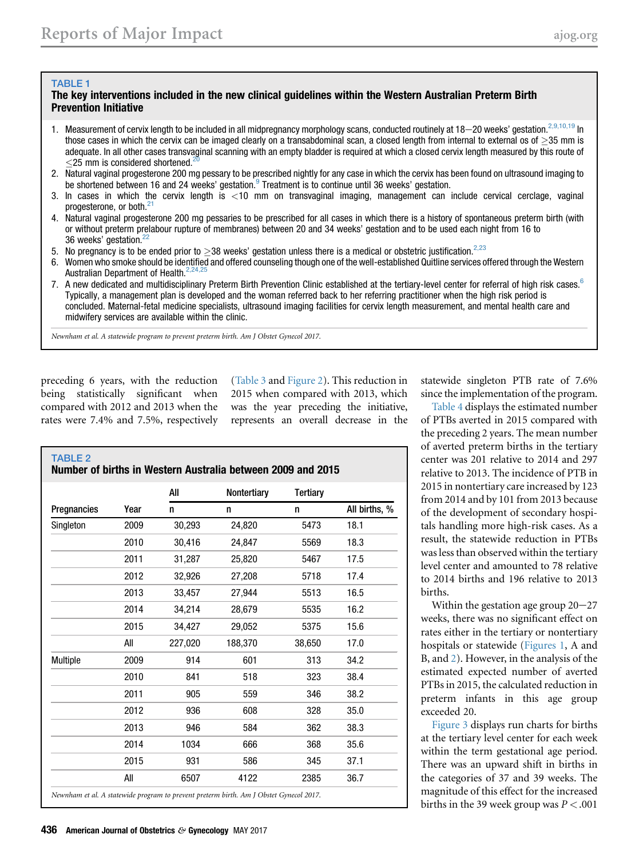#### <span id="page-2-0"></span>TABLE 1

#### The key interventions included in the new clinical guidelines within the Western Australian Preterm Birth Prevention Initiative

- 1. Measurement of cervix length to be included in all midpregnancy morphology scans, conducted routinely at  $18-20$  weeks' gestation.<sup>[2,9,10,19](#page-8-0)</sup> In those cases in which the cervix can be imaged clearly on a transabdominal scan, a closed length from internal to external os of  $\geq$ 35 mm is adequate. In all other cases transvaginal scanning with an empty bladder is required at which a closed cervix length measured by this route of  $<$ 25 mm is considered shortened.<sup>2</sup>
- 2. Natural vaginal progesterone 200 mg pessary to be prescribed nightly for any case in which the cervix has been found on ultrasound imaging to be shortened between 16 and 24 weeks' gestation. Freatment is to continue until 36 weeks' gestation.
- 3. In cases in which the cervix length is <10 mm on transvaginal imaging, management can include cervical cerclage, vaginal progesterone, or both.<sup>[21](#page-8-0)</sup>
- 4. Natural vaginal progesterone 200 mg pessaries to be prescribed for all cases in which there is a history of spontaneous preterm birth (with or without preterm prelabour rupture of membranes) between 20 and 34 weeks' gestation and to be used each night from 16 to 36 weeks' gestation.<sup>2</sup>
- 5. No pregnancy is to be ended prior to  $\geq$ 38 weeks' gestation unless there is a medical or obstetric justification.<sup>[2,23](#page-8-0)</sup>
- 6. Women who smoke should be identified and offered counseling though one of the well-established Quitline services offered through the Western Australian Department of Health.<sup>2,2</sup>
- 7. A new dedicated and multidisciplinary Preterm Birth Prevention Clinic established at the tertiary-level center for referral of high risk cases.<sup>[6](#page-8-0)</sup> Typically, a management plan is developed and the woman referred back to her referring practitioner when the high risk period is concluded. Maternal-fetal medicine specialists, ultrasound imaging facilities for cervix length measurement, and mental health care and midwifery services are available within the clinic.

Newnham et al. A statewide program to prevent preterm birth. Am J Obstet Gynecol 2017.

preceding 6 years, with the reduction being statistically significant when compared with 2012 and 2013 when the rates were 7.4% and 7.5%, respectively ([Table 3](#page-3-0) and [Figure 2](#page-5-0)). This reduction in 2015 when compared with 2013, which was the year preceding the initiative, represents an overall decrease in the

| <b>TABLE 2</b><br>Number of births in Western Australia between 2009 and 2015          |      |         |             |          |               |  |
|----------------------------------------------------------------------------------------|------|---------|-------------|----------|---------------|--|
|                                                                                        |      | All     | Nontertiary | Tertiary |               |  |
| Pregnancies                                                                            | Year | n       | n           | n        | All births, % |  |
| Singleton                                                                              | 2009 | 30,293  | 24,820      | 5473     | 18.1          |  |
|                                                                                        | 2010 | 30,416  | 24.847      | 5569     | 18.3          |  |
|                                                                                        | 2011 | 31,287  | 25,820      | 5467     | 17.5          |  |
|                                                                                        | 2012 | 32,926  | 27,208      | 5718     | 17.4          |  |
|                                                                                        | 2013 | 33,457  | 27,944      | 5513     | 16.5          |  |
|                                                                                        | 2014 | 34,214  | 28,679      | 5535     | 16.2          |  |
|                                                                                        | 2015 | 34,427  | 29,052      | 5375     | 15.6          |  |
|                                                                                        | All  | 227.020 | 188.370     | 38,650   | 17.0          |  |
| <b>Multiple</b>                                                                        | 2009 | 914     | 601         | 313      | 34.2          |  |
|                                                                                        | 2010 | 841     | 518         | 323      | 38.4          |  |
|                                                                                        | 2011 | 905     | 559         | 346      | 38.2          |  |
|                                                                                        | 2012 | 936     | 608         | 328      | 35.0          |  |
|                                                                                        | 2013 | 946     | 584         | 362      | 38.3          |  |
|                                                                                        | 2014 | 1034    | 666         | 368      | 35.6          |  |
|                                                                                        | 2015 | 931     | 586         | 345      | 37.1          |  |
|                                                                                        | All  | 6507    | 4122        | 2385     | 36.7          |  |
| Newnham et al. A statewide program to prevent preterm birth. Am J Obstet Gynecol 2017. |      |         |             |          |               |  |

statewide singleton PTB rate of 7.6% since the implementation of the program.

[Table 4](#page-6-0) displays the estimated number of PTBs averted in 2015 compared with the preceding 2 years. The mean number of averted preterm births in the tertiary center was 201 relative to 2014 and 297 relative to 2013. The incidence of PTB in 2015 in nontertiary care increased by 123 from 2014 and by 101 from 2013 because of the development of secondary hospitals handling more high-risk cases. As a result, the statewide reduction in PTBs was less than observed within the tertiary level center and amounted to 78 relative to 2014 births and 196 relative to 2013 births.

Within the gestation age group  $20-27$ weeks, there was no significant effect on rates either in the tertiary or nontertiary hospitals or statewide ([Figures 1](#page-4-0), A and B, and [2\)](#page-5-0). However, in the analysis of the estimated expected number of averted PTBs in 2015, the calculated reduction in preterm infants in this age group exceeded 20.

[Figure 3](#page-7-0) displays run charts for births at the tertiary level center for each week within the term gestational age period. There was an upward shift in births in the categories of 37 and 39 weeks. The magnitude of this effect for the increased births in the 39 week group was  $P < .001$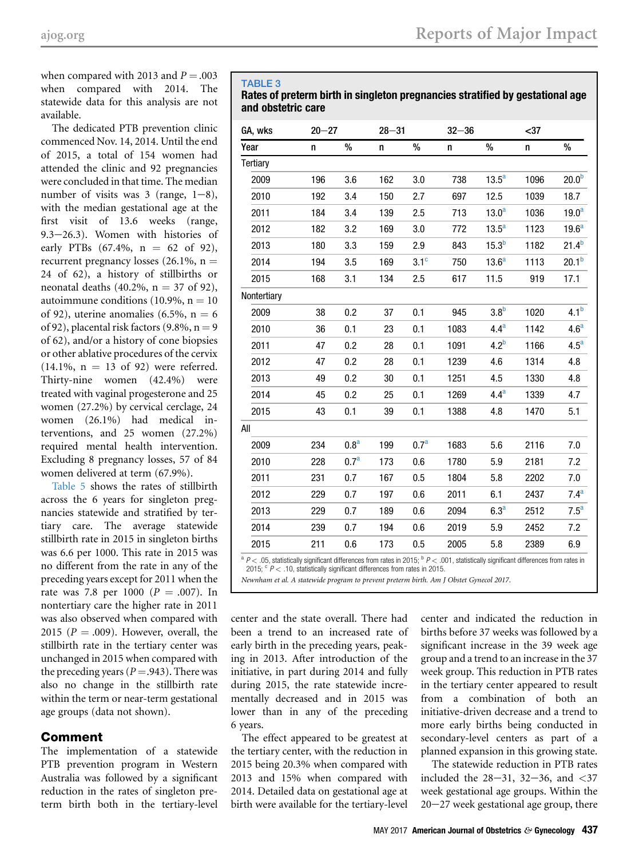<span id="page-3-0"></span>when compared with 2013 and  $P = .003$ when compared with 2014. The statewide data for this analysis are not available.

The dedicated PTB prevention clinic commenced Nov. 14, 2014. Until the end of 2015, a total of 154 women had attended the clinic and 92 pregnancies were concluded in that time. The median number of visits was  $3$  (range,  $1-8$ ), with the median gestational age at the first visit of 13.6 weeks (range,  $9.3-26.3$ ). Women with histories of early PTBs  $(67.4\%, n = 62 \text{ of } 92)$ , recurrent pregnancy losses (26.1%,  $n =$ 24 of 62), a history of stillbirths or neonatal deaths (40.2%,  $n = 37$  of 92), autoimmune conditions (10.9%,  $n = 10$ of 92), uterine anomalies (6.5%,  $n = 6$ of 92), placental risk factors (9.8%,  $n = 9$ of 62), and/or a history of cone biopsies or other ablative procedures of the cervix  $(14.1\%, n = 13 \text{ of } 92)$  were referred. Thirty-nine women (42.4%) were treated with vaginal progesterone and 25 women (27.2%) by cervical cerclage, 24 women (26.1%) had medical interventions, and 25 women (27.2%) required mental health intervention. Excluding 8 pregnancy losses, 57 of 84 women delivered at term (67.9%).

[Table 5](#page-7-0) shows the rates of stillbirth across the 6 years for singleton pregnancies statewide and stratified by tertiary care. The average statewide stillbirth rate in 2015 in singleton births was 6.6 per 1000. This rate in 2015 was no different from the rate in any of the preceding years except for 2011 when the rate was 7.8 per 1000 ( $P = .007$ ). In nontertiary care the higher rate in 2011 was also observed when compared with 2015 ( $P = .009$ ). However, overall, the stillbirth rate in the tertiary center was unchanged in 2015 when compared with the preceding years ( $P = .943$ ). There was also no change in the stillbirth rate within the term or near-term gestational age groups (data not shown).

# Comment

The implementation of a statewide PTB prevention program in Western Australia was followed by a significant reduction in the rates of singleton preterm birth both in the tertiary-level

#### TABLE 3

Rates of preterm birth in singleton pregnancies stratified by gestational age and obstetric care

| GA, wks     | $20 - 27$ |                  | $28 - 31$ |                  | $32 - 36$ |                   | $37$ |                   |
|-------------|-----------|------------------|-----------|------------------|-----------|-------------------|------|-------------------|
| Year        | n         | %                | n         | $\%$             | n         | $\%$              | n    | $\%$              |
| Tertiary    |           |                  |           |                  |           |                   |      |                   |
| 2009        | 196       | 3.6              | 162       | 3.0              | 738       | $13.5^a$          | 1096 | 20.0 <sup>b</sup> |
| 2010        | 192       | 3.4              | 150       | 2.7              | 697       | 12.5              | 1039 | 18.7              |
| 2011        | 184       | 3.4              | 139       | 2.5              | 713       | 13.0 <sup>a</sup> | 1036 | 19.0 <sup>a</sup> |
| 2012        | 182       | 3.2              | 169       | 3.0              | 772       | $13.5^a$          | 1123 | 19.6 <sup>a</sup> |
| 2013        | 180       | 3.3              | 159       | 2.9              | 843       | 15.3 <sup>b</sup> | 1182 | $21.4^{b}$        |
| 2014        | 194       | 3.5              | 169       | 3.1 <sup>c</sup> | 750       | 13.6 <sup>a</sup> | 1113 | 20.1 <sup>b</sup> |
| 2015        | 168       | 3.1              | 134       | 2.5              | 617       | 11.5              | 919  | 17.1              |
| Nontertiary |           |                  |           |                  |           |                   |      |                   |
| 2009        | 38        | 0.2              | 37        | 0.1              | 945       | 3.8 <sup>b</sup>  | 1020 | 4.1 <sup>b</sup>  |
| 2010        | 36        | 0.1              | 23        | 0.1              | 1083      | 4.4 <sup>a</sup>  | 1142 | 4.6 <sup>a</sup>  |
| 2011        | 47        | 0.2              | 28        | 0.1              | 1091      | 4.2 <sup>b</sup>  | 1166 | 4.5 <sup>a</sup>  |
| 2012        | 47        | 0.2              | 28        | 0.1              | 1239      | 4.6               | 1314 | 4.8               |
| 2013        | 49        | 0.2              | 30        | 0.1              | 1251      | 4.5               | 1330 | 4.8               |
| 2014        | 45        | 0.2              | 25        | 0.1              | 1269      | 4.4 <sup>a</sup>  | 1339 | 4.7               |
| 2015        | 43        | 0.1              | 39        | 0.1              | 1388      | 4.8               | 1470 | 5.1               |
| AII         |           |                  |           |                  |           |                   |      |                   |
| 2009        | 234       | 0.8 <sup>a</sup> | 199       | 0.7 <sup>a</sup> | 1683      | 5.6               | 2116 | 7.0               |
| 2010        | 228       | 0.7 <sup>a</sup> | 173       | 0.6              | 1780      | 5.9               | 2181 | 7.2               |
| 2011        | 231       | 0.7              | 167       | 0.5              | 1804      | 5.8               | 2202 | 7.0               |
| 2012        | 229       | 0.7              | 197       | 0.6              | 2011      | 6.1               | 2437 | 7.4 <sup>a</sup>  |
| 2013        | 229       | 0.7              | 189       | 0.6              | 2094      | 6.3 <sup>a</sup>  | 2512 | 7.5 <sup>a</sup>  |
| 2014        | 239       | 0.7              | 194       | 0.6              | 2019      | 5.9               | 2452 | 7.2               |
| 2015        | 211       | 0.6              | 173       | 0.5              | 2005      | 5.8               | 2389 | 6.9               |
|             |           |                  |           |                  |           |                   |      |                   |

 $a$   $P$  < .05, statistically significant differences from rates in 2015;  $b$   $P$  < .001, statistically significant differences from rates in 2015;  $\degree$  P < .10, statistically significant differences from rates in 2015.

Newnham et al. A statewide program to prevent preterm birth. Am J Obstet Gynecol 2017.

center and the state overall. There had been a trend to an increased rate of early birth in the preceding years, peaking in 2013. After introduction of the initiative, in part during 2014 and fully during 2015, the rate statewide incrementally decreased and in 2015 was lower than in any of the preceding 6 years.

The effect appeared to be greatest at the tertiary center, with the reduction in 2015 being 20.3% when compared with 2013 and 15% when compared with 2014. Detailed data on gestational age at birth were available for the tertiary-level

center and indicated the reduction in births before 37 weeks was followed by a significant increase in the 39 week age group and a trend to an increase in the 37 week group. This reduction in PTB rates in the tertiary center appeared to result from a combination of both an initiative-driven decrease and a trend to more early births being conducted in secondary-level centers as part of a planned expansion in this growing state.

The statewide reduction in PTB rates included the  $28-31$ ,  $32-36$ , and  $\lt 37$ week gestational age groups. Within the  $20-27$  week gestational age group, there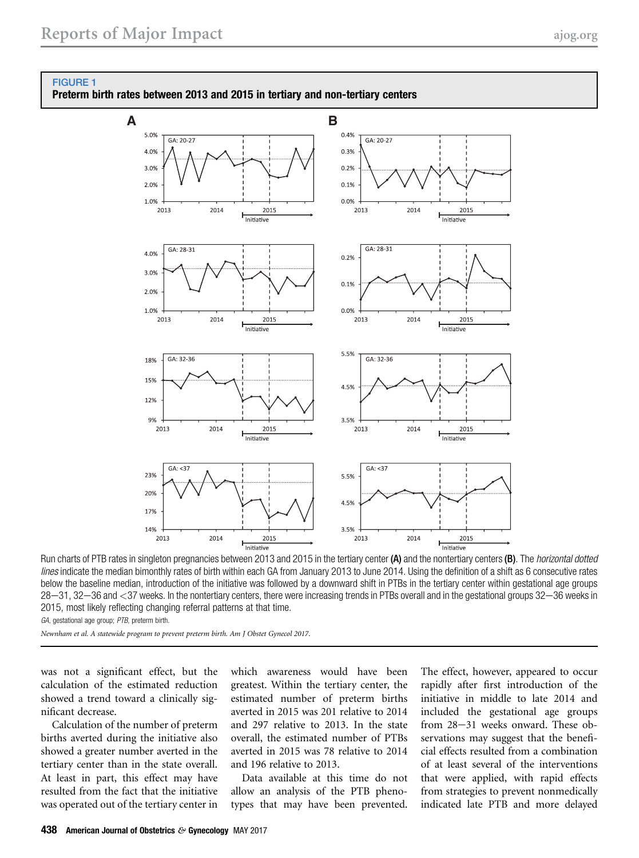

#### <span id="page-4-0"></span>FIGURE 1

Preterm birth rates between 2013 and 2015 in tertiary and non-tertiary centers

Run charts of PTB rates in singleton pregnancies between 2013 and 2015 in the tertiary center (A) and the nontertiary centers (B). The *horizontal dotted*<br>Run charts of PTB rates in singleton pregnancies between 2013 and 2 lines indicate the median bimonthly rates of birth within each GA from January 2013 to June 2014. Using the definition of a shift as 6 consecutive rates below the baseline median, introduction of the initiative was followed by a downward shift in PTBs in the tertiary center within gestational age groups 28-31, 32-36 and <37 weeks. In the nontertiary centers, there were increasing trends in PTBs overall and in the gestational groups 32-36 weeks in 2015, most likely reflecting changing referral patterns at that time.

GA, gestational age group; PTB, preterm birth.

Newnham et al. A statewide program to prevent preterm birth. Am J Obstet Gynecol 2017.

was not a significant effect, but the calculation of the estimated reduction showed a trend toward a clinically significant decrease.

Calculation of the number of preterm births averted during the initiative also showed a greater number averted in the tertiary center than in the state overall. At least in part, this effect may have resulted from the fact that the initiative was operated out of the tertiary center in which awareness would have been greatest. Within the tertiary center, the estimated number of preterm births averted in 2015 was 201 relative to 2014 and 297 relative to 2013. In the state overall, the estimated number of PTBs averted in 2015 was 78 relative to 2014 and 196 relative to 2013.

Data available at this time do not allow an analysis of the PTB phenotypes that may have been prevented.

The effect, however, appeared to occur rapidly after first introduction of the initiative in middle to late 2014 and included the gestational age groups from 28-31 weeks onward. These observations may suggest that the beneficial effects resulted from a combination of at least several of the interventions that were applied, with rapid effects from strategies to prevent nonmedically indicated late PTB and more delayed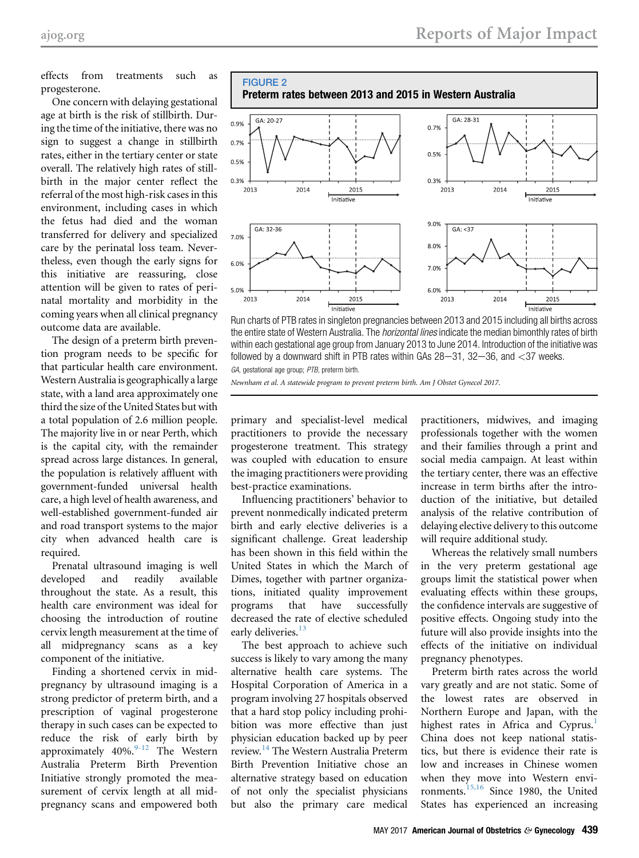<span id="page-5-0"></span>effects from treatments such as progesterone.

One concern with delaying gestational age at birth is the risk of stillbirth. During the time of the initiative, there was no sign to suggest a change in stillbirth rates, either in the tertiary center or state overall. The relatively high rates of stillbirth in the major center reflect the referral of the most high-risk cases in this environment, including cases in which the fetus had died and the woman transferred for delivery and specialized care by the perinatal loss team. Nevertheless, even though the early signs for this initiative are reassuring, close attention will be given to rates of perinatal mortality and morbidity in the coming years when all clinical pregnancy outcome data are available.

The design of a preterm birth prevention program needs to be specific for that particular health care environment. Western Australia is geographically a large state, with a land area approximately one third the size of the United States but with a total population of 2.6 million people. The majority live in or near Perth, which is the capital city, with the remainder spread across large distances. In general, the population is relatively affluent with government-funded universal health care, a high level of health awareness, and well-established government-funded air and road transport systems to the major city when advanced health care is required.

Prenatal ultrasound imaging is well developed and readily available throughout the state. As a result, this health care environment was ideal for choosing the introduction of routine cervix length measurement at the time of all midpregnancy scans as a key component of the initiative.

Finding a shortened cervix in midpregnancy by ultrasound imaging is a strong predictor of preterm birth, and a prescription of vaginal progesterone therapy in such cases can be expected to reduce the risk of early birth by approximately  $40\%$ . The Western Australia Preterm Birth Prevention Initiative strongly promoted the measurement of cervix length at all midpregnancy scans and empowered both



Run charts of PTB rates in singleton pregnancies between 2013 and 2015 including all births across the entire state of Western Australia. The *horizontal lines* indicate the median bimonthly rates of birth within each gestational age group from January 2013 to June 2014. Introduction of the initiative was followed by a downward shift in PTB rates within GAs  $28-31$ ,  $32-36$ , and  $<$  37 weeks. GA, gestational age group; PTB, preterm birth.

Newnham et al. A statewide program to prevent preterm birth. Am J Obstet Gynecol 2017.

primary and specialist-level medical practitioners to provide the necessary progesterone treatment. This strategy was coupled with education to ensure the imaging practitioners were providing best-practice examinations.

Influencing practitioners' behavior to prevent nonmedically indicated preterm birth and early elective deliveries is a significant challenge. Great leadership has been shown in this field within the United States in which the March of Dimes, together with partner organizations, initiated quality improvement programs that have successfully decreased the rate of elective scheduled early deliveries.<sup>[13](#page-8-0)</sup>

The best approach to achieve such success is likely to vary among the many alternative health care systems. The Hospital Corporation of America in a program involving 27 hospitals observed that a hard stop policy including prohibition was more effective than just physician education backed up by peer review.[14](#page-8-0) The Western Australia Preterm Birth Prevention Initiative chose an alternative strategy based on education of not only the specialist physicians but also the primary care medical

practitioners, midwives, and imaging professionals together with the women and their families through a print and social media campaign. At least within the tertiary center, there was an effective increase in term births after the introduction of the initiative, but detailed analysis of the relative contribution of delaying elective delivery to this outcome will require additional study.

Whereas the relatively small numbers in the very preterm gestational age groups limit the statistical power when evaluating effects within these groups, the confidence intervals are suggestive of positive effects. Ongoing study into the future will also provide insights into the effects of the initiative on individual pregnancy phenotypes.

Preterm birth rates across the world vary greatly and are not static. Some of the lowest rates are observed in Northern Europe and Japan, with the highest rates in Africa and Cyprus.<sup>[1](#page-8-0)</sup> China does not keep national statistics, but there is evidence their rate is low and increases in Chinese women when they move into Western envi-ronments.<sup>[15,16](#page-8-0)</sup> Since 1980, the United States has experienced an increasing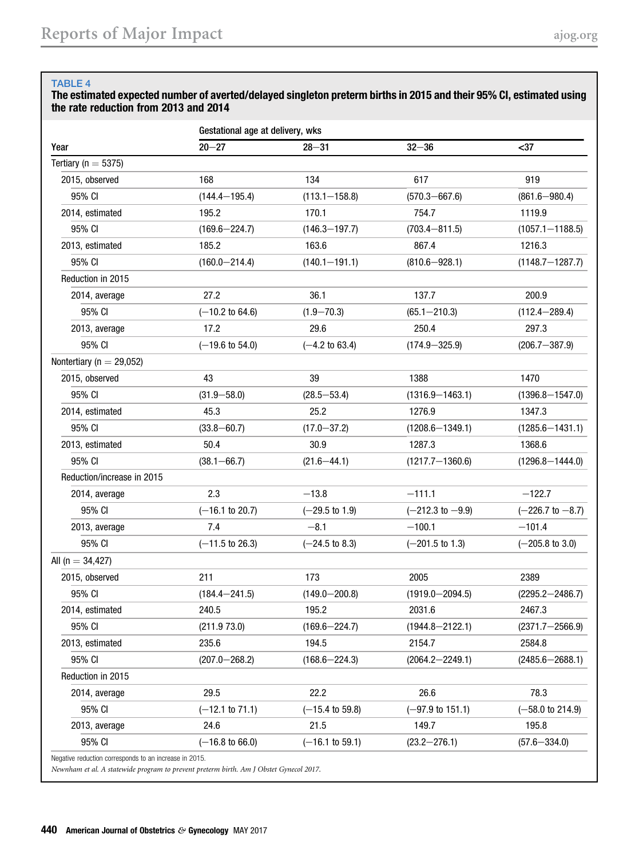#### <span id="page-6-0"></span>TABLE 4

### The estimated expected number of averted/delayed singleton preterm births in 2015 and their 95% CI, estimated using the rate reduction from 2013 and 2014

|                              | Gestational age at delivery, wks |                            |                             |                             |  |  |  |
|------------------------------|----------------------------------|----------------------------|-----------------------------|-----------------------------|--|--|--|
| Year                         | $20 - 27$                        | $28 - 31$                  | $32 - 36$                   | $37$                        |  |  |  |
| Tertiary ( $n = 5375$ )      |                                  |                            |                             |                             |  |  |  |
| 2015, observed               | 168                              | 134                        | 617                         | 919                         |  |  |  |
| 95% CI                       | $(144.4 - 195.4)$                | $(113.1 - 158.8)$          | $(570.3 - 667.6)$           | $(861.6 - 980.4)$           |  |  |  |
| 2014, estimated              | 195.2                            | 170.1                      | 754.7                       | 1119.9                      |  |  |  |
| 95% CI                       | $(169.6 - 224.7)$                | $(146.3 - 197.7)$          | $(703.4 - 811.5)$           | $(1057.1 - 1188.5)$         |  |  |  |
| 2013, estimated              | 185.2                            | 163.6                      | 867.4                       | 1216.3                      |  |  |  |
| 95% CI                       | $(160.0 - 214.4)$                | $(140.1 - 191.1)$          | $(810.6 - 928.1)$           | $(1148.7 - 1287.7)$         |  |  |  |
| Reduction in 2015            |                                  |                            |                             |                             |  |  |  |
| 2014, average                | 27.2                             | 36.1                       | 137.7                       | 200.9                       |  |  |  |
| 95% CI                       | $(-10.2 \text{ to } 64.6)$       | $(1.9 - 70.3)$             | $(65.1 - 210.3)$            | $(112.4 - 289.4)$           |  |  |  |
| 2013, average                | 17.2                             | 29.6                       | 250.4                       | 297.3                       |  |  |  |
| 95% CI                       | $(-19.6 \text{ to } 54.0)$       | $(-4.2 \text{ to } 63.4)$  | $(174.9 - 325.9)$           | $(206.7 - 387.9)$           |  |  |  |
| Nontertiary ( $n = 29,052$ ) |                                  |                            |                             |                             |  |  |  |
| 2015, observed               | 43                               | 39                         | 1388                        | 1470                        |  |  |  |
| 95% CI                       | $(31.9 - 58.0)$                  | $(28.5 - 53.4)$            | $(1316.9 - 1463.1)$         | $(1396.8 - 1547.0)$         |  |  |  |
| 2014, estimated              | 45.3                             | 25.2                       | 1276.9                      | 1347.3                      |  |  |  |
| 95% CI                       | $(33.8 - 60.7)$                  | $(17.0 - 37.2)$            | $(1208.6 - 1349.1)$         | $(1285.6 - 1431.1)$         |  |  |  |
| 2013, estimated              | 50.4                             | 30.9                       | 1287.3                      | 1368.6                      |  |  |  |
| 95% CI                       | $(38.1 - 66.7)$                  | $(21.6 - 44.1)$            | $(1217.7 - 1360.6)$         | $(1296.8 - 1444.0)$         |  |  |  |
| Reduction/increase in 2015   |                                  |                            |                             |                             |  |  |  |
| 2014, average                | 2.3                              | $-13.8$                    | $-111.1$                    | $-122.7$                    |  |  |  |
| 95% CI                       | $(-16.1 \text{ to } 20.7)$       | $(-29.5 \text{ to } 1.9)$  | $(-212.3 \text{ to } -9.9)$ | $(-226.7 \text{ to } -8.7)$ |  |  |  |
| 2013, average                | 7.4                              | $-8.1$                     | $-100.1$                    | $-101.4$                    |  |  |  |
| 95% CI                       | $(-11.5 \text{ to } 26.3)$       | $(-24.5 \text{ to } 8.3)$  | $(-201.5 \text{ to } 1.3)$  | $(-205.8 \text{ to } 3.0)$  |  |  |  |
| All (n = $34,427$ )          |                                  |                            |                             |                             |  |  |  |
| 2015, observed               | 211                              | 173                        | 2005                        | 2389                        |  |  |  |
| 95% CI                       | $(184.4 - 241.5)$                | $(149.0 - 200.8)$          | $(1919.0 - 2094.5)$         | $(2295.2 - 2486.7)$         |  |  |  |
| 2014, estimated              | 240.5                            | 195.2                      | 2031.6                      | 2467.3                      |  |  |  |
| 95% CI                       | (211.973.0)                      | $(169.6 - 224.7)$          | $(1944.8 - 2122.1)$         | $(2371.7 - 2566.9)$         |  |  |  |
| 2013, estimated              | 235.6                            | 194.5                      | 2154.7                      | 2584.8                      |  |  |  |
| 95% CI                       | $(207.0 - 268.2)$                | $(168.6 - 224.3)$          | $(2064.2 - 2249.1)$         | $(2485.6 - 2688.1)$         |  |  |  |
| Reduction in 2015            |                                  |                            |                             |                             |  |  |  |
| 2014, average                | 29.5                             | 22.2                       | 26.6                        | 78.3                        |  |  |  |
| 95% CI                       | $(-12.1 \text{ to } 71.1)$       | $(-15.4 \text{ to } 59.8)$ | $(-97.9 \text{ to } 151.1)$ | $(-58.0 \text{ to } 214.9)$ |  |  |  |
| 2013, average                | 24.6                             | 21.5                       | 149.7                       | 195.8                       |  |  |  |
| 95% CI                       | $(-16.8 \text{ to } 66.0)$       | $(-16.1 \text{ to } 59.1)$ | $(23.2 - 276.1)$            | $(57.6 - 334.0)$            |  |  |  |

Newnham et al. A statewide program to prevent preterm birth. Am J Obstet Gynecol 2017.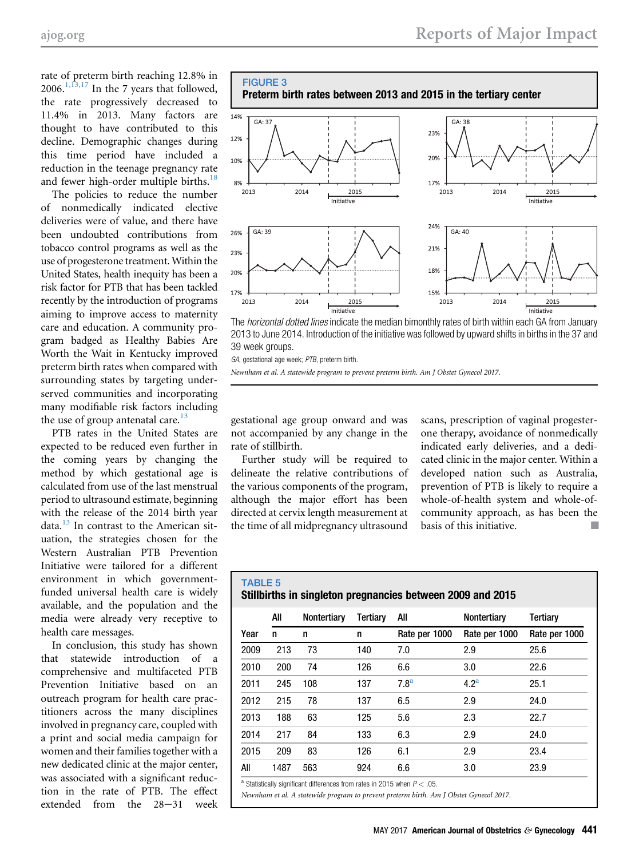<span id="page-7-0"></span>rate of preterm birth reaching 12.8% in 2006.<sup>[1,13,17](#page-8-0)</sup> In the 7 years that followed, the rate progressively decreased to 11.4% in 2013. Many factors are thought to have contributed to this decline. Demographic changes during this time period have included a reduction in the teenage pregnancy rate and fewer high-order multiple births. $^{18}$  $^{18}$  $^{18}$ 

The policies to reduce the number of nonmedically indicated elective deliveries were of value, and there have been undoubted contributions from tobacco control programs as well as the use of progesterone treatment. Within the United States, health inequity has been a risk factor for PTB that has been tackled recently by the introduction of programs aiming to improve access to maternity care and education. A community program badged as Healthy Babies Are Worth the Wait in Kentucky improved preterm birth rates when compared with surrounding states by targeting underserved communities and incorporating many modifiable risk factors including the use of group antenatal care.<sup>13</sup>

PTB rates in the United States are expected to be reduced even further in the coming years by changing the method by which gestational age is calculated from use of the last menstrual period to ultrasound estimate, beginning with the release of the 2014 birth year data. $13$  In contrast to the American situation, the strategies chosen for the Western Australian PTB Prevention Initiative were tailored for a different environment in which governmentfunded universal health care is widely available, and the population and the media were already very receptive to health care messages.

In conclusion, this study has shown that statewide introduction of a comprehensive and multifaceted PTB Prevention Initiative based on an outreach program for health care practitioners across the many disciplines involved in pregnancy care, coupled with a print and social media campaign for women and their families together with a new dedicated clinic at the major center, was associated with a significant reduction in the rate of PTB. The effect extended from the  $28-31$  week



The horizontal dotted lines indicate the median bimonthly rates of birth within each GA from January 2013 to June 2014. Introduction of the initiative was followed by upward shifts in births in the 37 and 39 week groups.

GA, gestational age week; PTB, preterm birth.

Newnham et al. A statewide program to prevent preterm birth. Am J Obstet Gynecol 2017.

gestational age group onward and was not accompanied by any change in the rate of stillbirth.

Further study will be required to delineate the relative contributions of the various components of the program, although the major effort has been directed at cervix length measurement at the time of all midpregnancy ultrasound

scans, prescription of vaginal progesterone therapy, avoidance of nonmedically indicated early deliveries, and a dedicated clinic in the major center. Within a developed nation such as Australia, prevention of PTB is likely to require a whole-of-health system and whole-ofcommunity approach, as has been the basis of this initiative.  $\blacksquare$ 

#### TABLE 5 Stillbirths in singleton pregnancies between 2009 and 2015

|                                                                                                                                                                                                                                                                                                                                   | All  | Nontertiary | Tertiary | All              | Nontertiary      | Tertiary      |  |
|-----------------------------------------------------------------------------------------------------------------------------------------------------------------------------------------------------------------------------------------------------------------------------------------------------------------------------------|------|-------------|----------|------------------|------------------|---------------|--|
| Year                                                                                                                                                                                                                                                                                                                              | n    | n           | n        | Rate per 1000    | Rate per 1000    | Rate per 1000 |  |
| 2009                                                                                                                                                                                                                                                                                                                              | 213  | 73          | 140      | 7.0              | 2.9              | 25.6          |  |
| 2010                                                                                                                                                                                                                                                                                                                              | 200  | 74          | 126      | 6.6              | 3.0              | 22.6          |  |
| 2011                                                                                                                                                                                                                                                                                                                              | 245  | 108         | 137      | 7.8 <sup>a</sup> | 4.2 <sup>a</sup> | 25.1          |  |
| 2012                                                                                                                                                                                                                                                                                                                              | 215  | 78          | 137      | 6.5              | 2.9              | 24.0          |  |
| 2013                                                                                                                                                                                                                                                                                                                              | 188  | 63          | 125      | 5.6              | 2.3              | 22.7          |  |
| 2014                                                                                                                                                                                                                                                                                                                              | 217  | 84          | 133      | 6.3              | 2.9              | 24.0          |  |
| 2015                                                                                                                                                                                                                                                                                                                              | 209  | 83          | 126      | 6.1              | 2.9              | 23.4          |  |
| All                                                                                                                                                                                                                                                                                                                               | 1487 | 563         | 924      | 6.6              | 3.0              | 23.9          |  |
| $\theta$ of $\theta$ and $\theta$ and $\theta$ and $\theta$ and $\theta$ and $\theta$ and $\theta$ and $\theta$ and $\theta$ and $\theta$ and $\theta$ and $\theta$ and $\theta$ and $\theta$ and $\theta$ and $\theta$ and $\theta$ and $\theta$ and $\theta$ and $\theta$ and $\theta$ and $\theta$ and $\theta$ and $\theta$ a |      |             |          |                  |                  |               |  |

Statistically significant differences from rates in 2015 when  $P < .05$ .

Newnham et al. A statewide program to prevent preterm birth. Am J Obstet Gynecol 2017.